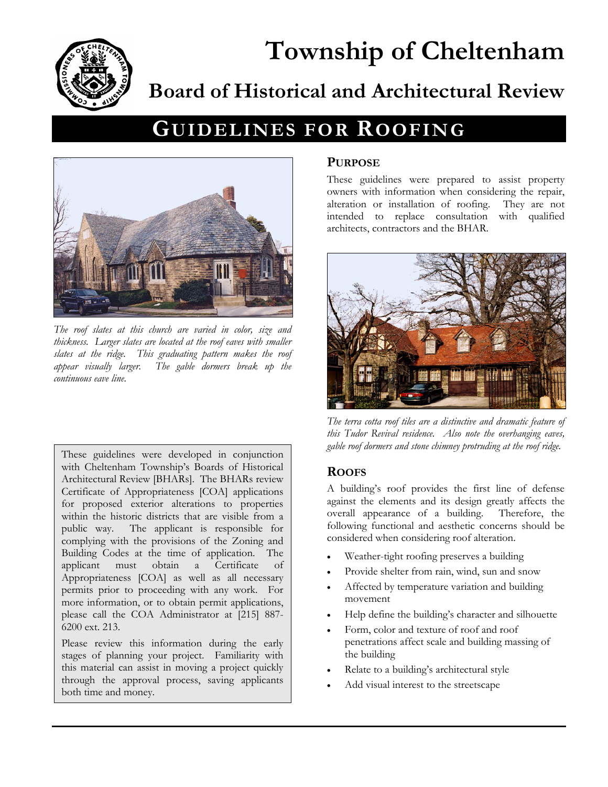

# **Township of Cheltenham Board of Historical and Architectural Review**

# **GUIDELINES FOR ROOFING**



*The roof slates at this church are varied in color, size and thickness. Larger slates are located at the roof eaves with smaller slates at the ridge. This graduating pattern makes the roof appear visually larger. The gable dormers break up the continuous eave line.* 

These guidelines were developed in conjunction with Cheltenham Township's Boards of Historical Architectural Review [BHARs]. The BHARs review Certificate of Appropriateness [COA] applications for proposed exterior alterations to properties within the historic districts that are visible from a public way. The applicant is responsible for complying with the provisions of the Zoning and Building Codes at the time of application. The applicant must obtain a Certificate of Appropriateness [COA] as well as all necessary permits prior to proceeding with any work. For more information, or to obtain permit applications, please call the COA Administrator at [215] 887- 6200 ext. 213.

Please review this information during the early stages of planning your project. Familiarity with this material can assist in moving a project quickly through the approval process, saving applicants both time and money.

#### **PURPOSE**

These guidelines were prepared to assist property owners with information when considering the repair, alteration or installation of roofing. They are not intended to replace consultation with qualified architects, contractors and the BHAR.



*The terra cotta roof tiles are a distinctive and dramatic feature of this Tudor Revival residence. Also note the overhanging eaves, gable roof dormers and stone chimney protruding at the roof ridge.*

### **ROOFS**

A building's roof provides the first line of defense against the elements and its design greatly affects the overall appearance of a building. Therefore, the following functional and aesthetic concerns should be considered when considering roof alteration.

- Weather-tight roofing preserves a building
- Provide shelter from rain, wind, sun and snow
- Affected by temperature variation and building movement
- Help define the building's character and silhouette
- Form, color and texture of roof and roof penetrations affect scale and building massing of the building
- Relate to a building's architectural style
- Add visual interest to the streetscape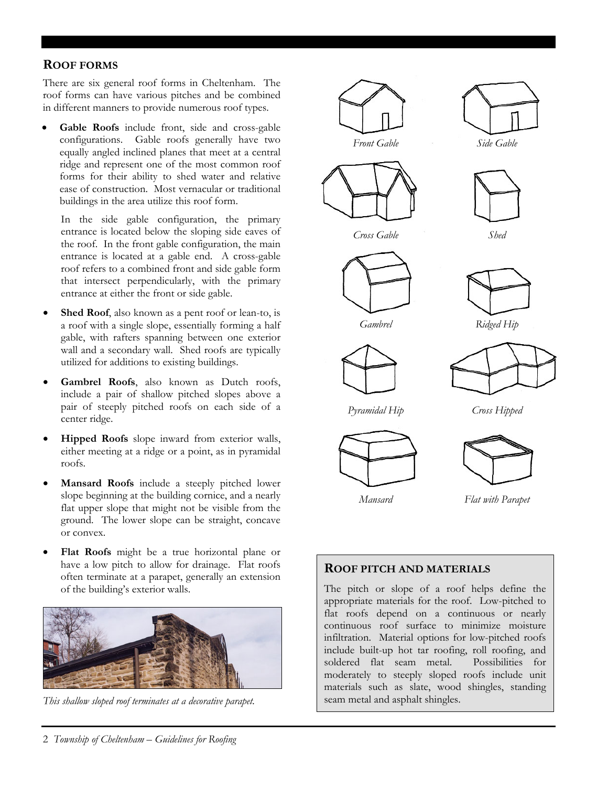#### **ROOF FORMS**

There are six general roof forms in Cheltenham. The roof forms can have various pitches and be combined in different manners to provide numerous roof types.

Gable Roofs include front, side and cross-gable configurations. Gable roofs generally have two equally angled inclined planes that meet at a central ridge and represent one of the most common roof forms for their ability to shed water and relative ease of construction. Most vernacular or traditional buildings in the area utilize this roof form.

In the side gable configuration, the primary entrance is located below the sloping side eaves of the roof. In the front gable configuration, the main entrance is located at a gable end. A cross-gable roof refers to a combined front and side gable form that intersect perpendicularly, with the primary entrance at either the front or side gable.

- **Shed Roof**, also known as a pent roof or lean-to, is a roof with a single slope, essentially forming a half gable, with rafters spanning between one exterior wall and a secondary wall. Shed roofs are typically utilized for additions to existing buildings.
- **Gambrel Roofs**, also known as Dutch roofs, include a pair of shallow pitched slopes above a pair of steeply pitched roofs on each side of a center ridge.
- **Hipped Roofs** slope inward from exterior walls, either meeting at a ridge or a point, as in pyramidal roofs.
- **Mansard Roofs** include a steeply pitched lower slope beginning at the building cornice, and a nearly flat upper slope that might not be visible from the ground. The lower slope can be straight, concave or convex.
- **Flat Roofs** might be a true horizontal plane or have a low pitch to allow for drainage. Flat roofs often terminate at a parapet, generally an extension of the building's exterior walls.



*This shallow sloped roof terminates at a decorative parapet.* 



The pitch or slope of a roof helps define the appropriate materials for the roof. Low-pitched to flat roofs depend on a continuous or nearly continuous roof surface to minimize moisture infiltration. Material options for low-pitched roofs include built-up hot tar roofing, roll roofing, and soldered flat seam metal. Possibilities for moderately to steeply sloped roofs include unit materials such as slate, wood shingles, standing seam metal and asphalt shingles.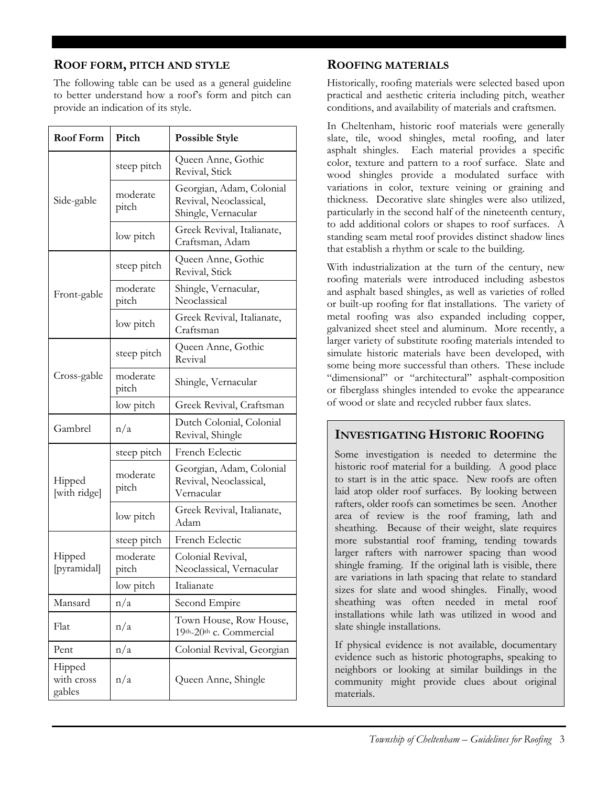#### **ROOF FORM, PITCH AND STYLE**

The following table can be used as a general guideline to better understand how a roof's form and pitch can provide an indication of its style.

| <b>Roof Form</b>               | Pitch             | <b>Possible Style</b>                                                     |
|--------------------------------|-------------------|---------------------------------------------------------------------------|
| Side-gable                     | steep pitch       | Queen Anne, Gothic<br>Revival, Stick                                      |
|                                | moderate<br>pitch | Georgian, Adam, Colonial<br>Revival, Neoclassical,<br>Shingle, Vernacular |
|                                | low pitch         | Greek Revival, Italianate,<br>Craftsman, Adam                             |
| Front-gable                    | steep pitch       | Queen Anne, Gothic<br>Revival, Stick                                      |
|                                | moderate<br>pitch | Shingle, Vernacular,<br>Neoclassical                                      |
|                                | low pitch         | Greek Revival, Italianate,<br>Craftsman                                   |
| Cross-gable                    | steep pitch       | Queen Anne, Gothic<br>Revival                                             |
|                                | moderate<br>pitch | Shingle, Vernacular                                                       |
|                                | low pitch         | Greek Revival, Craftsman                                                  |
| Gambrel                        | n/a               | Dutch Colonial, Colonial<br>Revival, Shingle                              |
| Hipped<br>[with ridge]         | steep pitch       | French Eclectic                                                           |
|                                | moderate<br>pitch | Georgian, Adam, Colonial<br>Revival, Neoclassical,<br>Vernacular          |
|                                | low pitch         | Greek Revival, Italianate,<br>Adam                                        |
| Hipped<br>[pyramidal]          | steep pitch       | French Eclectic                                                           |
|                                | moderate<br>pitch | Colonial Revival,<br>Neoclassical, Vernacular                             |
|                                | low pitch         | Italianate                                                                |
| Mansard                        | n/a               | Second Empire                                                             |
| Flat                           | n/a               | Town House, Row House,<br>19th-20th c. Commercial                         |
| Pent                           | n/a               | Colonial Revival, Georgian                                                |
| Hipped<br>with cross<br>gables | n/a               | Queen Anne, Shingle                                                       |

### **ROOFING MATERIALS**

Historically, roofing materials were selected based upon practical and aesthetic criteria including pitch, weather conditions, and availability of materials and craftsmen.

In Cheltenham, historic roof materials were generally slate, tile, wood shingles, metal roofing, and later asphalt shingles. Each material provides a specific color, texture and pattern to a roof surface. Slate and wood shingles provide a modulated surface with variations in color, texture veining or graining and thickness. Decorative slate shingles were also utilized, particularly in the second half of the nineteenth century, to add additional colors or shapes to roof surfaces. A standing seam metal roof provides distinct shadow lines that establish a rhythm or scale to the building.

With industrialization at the turn of the century, new roofing materials were introduced including asbestos and asphalt based shingles, as well as varieties of rolled or built-up roofing for flat installations. The variety of metal roofing was also expanded including copper, galvanized sheet steel and aluminum. More recently, a larger variety of substitute roofing materials intended to simulate historic materials have been developed, with some being more successful than others. These include "dimensional" or "architectural" asphalt-composition or fiberglass shingles intended to evoke the appearance of wood or slate and recycled rubber faux slates.

#### **INVESTIGATING HISTORIC ROOFING**

Some investigation is needed to determine the historic roof material for a building. A good place to start is in the attic space. New roofs are often laid atop older roof surfaces. By looking between rafters, older roofs can sometimes be seen. Another area of review is the roof framing, lath and sheathing. Because of their weight, slate requires more substantial roof framing, tending towards larger rafters with narrower spacing than wood shingle framing. If the original lath is visible, there are variations in lath spacing that relate to standard sizes for slate and wood shingles. Finally, wood sheathing was often needed in metal roof installations while lath was utilized in wood and slate shingle installations.

If physical evidence is not available, documentary evidence such as historic photographs, speaking to neighbors or looking at similar buildings in the community might provide clues about original materials.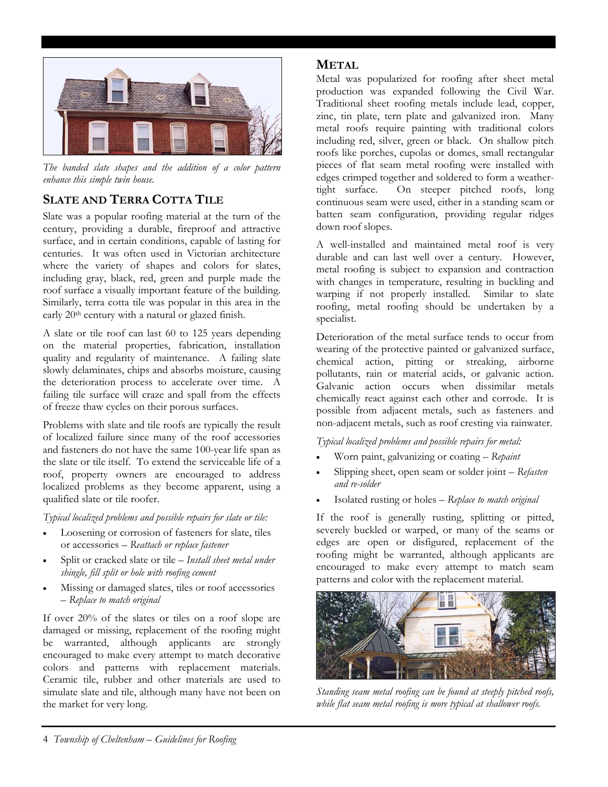

*The banded slate shapes and the addition of a color pattern enhance this simple twin house.* 

## **SLATE AND TERRA COTTA TILE**

Slate was a popular roofing material at the turn of the century, providing a durable, fireproof and attractive surface, and in certain conditions, capable of lasting for centuries. It was often used in Victorian architecture where the variety of shapes and colors for slates, including gray, black, red, green and purple made the roof surface a visually important feature of the building. Similarly, terra cotta tile was popular in this area in the early 20th century with a natural or glazed finish.

A slate or tile roof can last 60 to 125 years depending on the material properties, fabrication, installation quality and regularity of maintenance. A failing slate slowly delaminates, chips and absorbs moisture, causing the deterioration process to accelerate over time. A failing tile surface will craze and spall from the effects of freeze thaw cycles on their porous surfaces.

Problems with slate and tile roofs are typically the result of localized failure since many of the roof accessories and fasteners do not have the same 100-year life span as the slate or tile itself. To extend the serviceable life of a roof, property owners are encouraged to address localized problems as they become apparent, using a qualified slate or tile roofer.

*Typical localized problems and possible repairs for slate or tile:* 

- Loosening or corrosion of fasteners for slate, tiles or accessories – *Reattach or replace fastener*
- Split or cracked slate or tile *Install sheet metal under shingle, fill split or hole with roofing cement*
- Missing or damaged slates, tiles or roof accessories – *Replace to match original*

If over 20% of the slates or tiles on a roof slope are damaged or missing, replacement of the roofing might be warranted, although applicants are strongly encouraged to make every attempt to match decorative colors and patterns with replacement materials. Ceramic tile, rubber and other materials are used to simulate slate and tile, although many have not been on the market for very long.

#### **METAL**

Metal was popularized f or roofing after sheet metal production was expanded following the Civil War. Traditional sheet roofing metals include lead, copper, zinc, tin plate, tern plate and galvanized iron. Many metal roofs require painting with traditional colors including red, silver, green or black. On shallow pitch roofs like porches, cupolas or domes, small rectangular pieces of flat seam metal roofing were installed with edges crimped together and soldered to form a weathertight surface. On steeper pitched roofs, long continuous seam were used, either in a standing seam or batten seam configuration, providing regular ridges down roof slopes.

A well-installed and maintained metal roof is very durable and can last well over a century. However, metal roofing is subject to expansion and contraction with changes in temperature, resulting in buckling and warping if not properly installed. Similar to slate roofing, metal roofing should be undertaken by a specialist.

Deterioration of the metal surface tends to occur from wearing of the protective painted or galvanized surface, chemical action, pitting or streaking, airborne pollutants, rain or material acids, or galvanic action. Galvanic action occurs when dissimilar metals chemically react against each other and corrode. It is possible from adjacent metals, such as fasteners and non-adjacent metals, such as roof cresting via rainwater.

*Typical localized problems and possible repairs for metal:* 

- Worn paint, galvanizing or coating *Repaint*
- Slipping sheet, open seam or solder joint *Refasten and re-solder*
- Isolated rusting or holes *Replace to match original*

If the roof is generally rusting, splitting or pitted, severely buckled or warped, or many of the seams or edges are open or disfigured, replacement of the roofing might be warranted, although applicants are encouraged to make every attempt to match seam patterns and color with the replacement material.



*Standing seam metal roofing can be found at steeply pitched roofs, while flat seam metal roofing is more typical at shallower roofs.*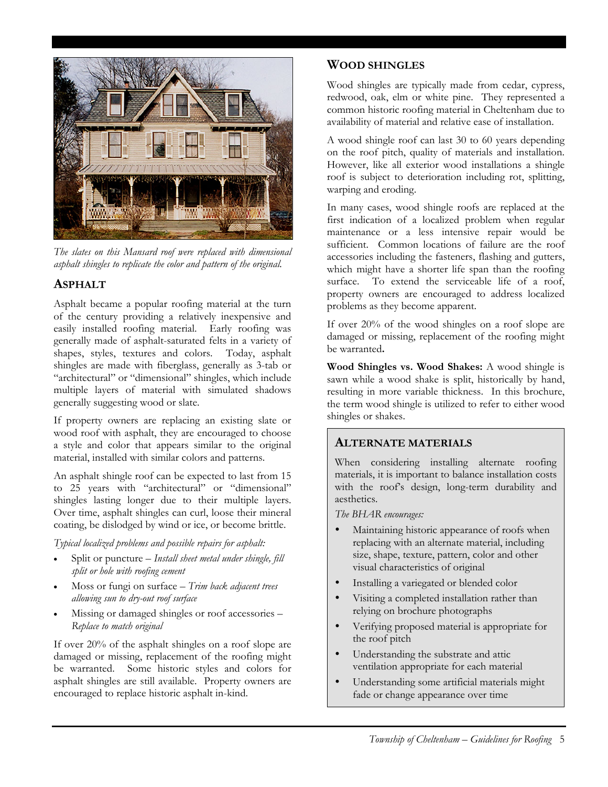

*The slates on this Mansard roof were replaced with dimensional asphalt shingles to replicate the color and pattern of the original.* 

#### **ASPHALT**

Asphalt became a popular roofing material at the turn of the century providing a relatively inexpensive and easily installed roofing material. Early roofing was generally made of asphalt-saturated felts in a variety of shapes, styles, textures and colors. Today, asphalt shingles are made with fiberglass, generally as 3-tab or "architectural" or "dimensional" shingles, which include multiple layers of material with simulated shadows generally suggesting wood or slate.

wood roof with asphalt, they are encouraged to choose material, installed with similar colors and patterns. If property owners are replacing an existing slate or a style and color that appears similar to the original

to 25 years with "architectural" or "dimensional" shingles lasting longer due to their multiple layers. Over time, asphalt shingles can curl, loose their mineral An asphalt shingle roof can be expected to last from 15 coating, be dislodged by wind or ice, or become brittle.

*Typical localized problems and possible repairs for asphalt:* 

- Split or puncture *Install sheet metal under shingle, fill split or hole with roofing cement*
- Moss or fungi on surface *Trim back adjacent trees allowing sun to dry-out roof surface*
- Missing or damaged shingles or roof accessories *Replace to match original*

encouraged to replace historic asphalt in-kind. If over 20% of the asphalt shingles on a roof slope are damaged or missing, replacement of the roofing might be warranted. Some historic styles and colors for asphalt shingles are still available. Property owners are

#### **WOOD SHINGLES**

Wood shingles are typically made from cedar, cypress, redwood, oak, elm or white pine. They represented a common historic roofing material in Cheltenham due to availability of material and relative ease of installation.

A wood shingle roof can last 30 to 60 years depending on the roof pitch, quality of materials and installation. However, like all exterior wood installations a shingle roof is subject to deterioration including rot, splitting, warping and eroding.

In many cases, wood shingle roofs are replaced at the first indication of a localized problem when regular maintenance or a less intensive repair would be sufficient. Common locations of failure are the roof accessories including the fasteners, flashing and gutters, which might have a shorter life span than the roofing surface. To extend the serviceable life of a roof, property owners are encouraged to address localized problems as they become apparent.

If over 20% of the wood shingles on a roof slope are damaged or missing, replacement of the roofing might be warranted**.** 

**Wood Shingles vs. Wood Shakes:** A wood shingle is sawn while a wood shake is split, historically by hand, resulting in more variable thickness. In this brochure, the term wood shingle is utilized to refer to either wood shingles or shakes.

### **ALTERNATE MATERIALS**

When considering installing alternate roofing materials, it is important to balance installation costs with the roof's design, long-term durability and aesthetics.

*The BHAR encourages:* 

- Maintaining historic appearance of roofs when replacing with an alternate material, including size, shape, texture, pattern, color and other visual characteristics of original
- Installing a variegated or blended color
- Visiting a completed installation rather than relying on brochure photographs
- Verifying proposed material is appropriate for the roof pitch
- Understanding the substrate and attic ventilation appropriate for each material
- Understanding some artificial materials might fade or change appearance over time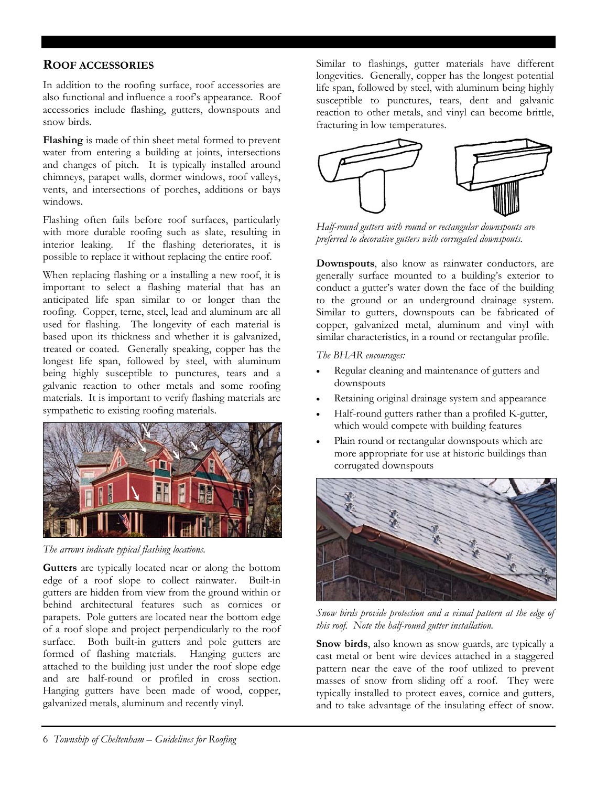#### **ROOF ACCESSORIES**

In addition to the roofing surface, roof accessories are also functional and influence a roof's appearance. Roof accessories include flashing, gutters, downspouts and snow birds.

**Flashing** is made of thin sheet metal formed to prevent water from entering a building at joints, intersections and changes of pitch. It is typically installed around chimneys, parapet walls, dormer windows, roof valleys, vents, and intersections of porches, additions or bays windows.

Flashing often fails before roof surfaces, particularly with more durable roofing such as slate, resulting in interior leaking. If the flashing deteriorates, it is possible to replace it without replacing the entire roof.

When replacing flashing or a installing a new roof, it is important to select a flashing material that has an sympathetic to existing roofing materials. anticipated life span similar to or longer than the roofing. Copper, terne, steel, lead and aluminum are all used for flashing. The longevity of each material is based upon its thickness and whether it is galvanized, treated or coated. Generally speaking, copper has the longest life span, followed by steel, with aluminum being highly susceptible to punctures, tears and a galvanic reaction to other metals and some roofing materials. It is important to verify flashing materials are



*The arrows indicate typical flashing locations.* 

Gutters are typically located near or along the bottom edge of a roof slope to collect rainwater. Built-in gutters are hidden from view from the ground within or behind architectural features such as cornices or parapets. Pole gutters are located near the bottom edge of a roof slope and project perpendicularly to the roof . galvanized metals, aluminum and recently vinyl surface. Both built-in gutters and pole gutters are formed of flashing materials. Hanging gutters are attached to the building just under the roof slope edge and are half-round or profiled in cross section. Hanging gutters have been made of wood, copper,

Similar to flashings, gutter materials have different longevities. Generally, copper has the longest potential life span, followed by steel, with aluminum being highly susceptible to punctures, tears, dent and galvanic reaction to other metals, and vinyl can become brittle, fracturing in low temperatures.



*Half-round gutters with round or rectangular downspouts are preferred to decorative gutters with corrugated downspouts.*

**Downspouts**, also know as rainwater conductors, are generally surface mounted to a building's exterior to conduct a gutter's water down the face of the building to the ground or an underground drainage system. Similar to gutters, downspouts can be fabricated of copper, galvanized metal, aluminum and vinyl with similar characteristics, in a round or rectangular profile.

*The BHAR encourages:* 

- Regular cleaning and maintenance of gutters and downspouts
- Retaining original drainage system and appearance
- which would compete with building features • Half-round gutters rather than a profiled K-gutter,
- Plain round or rectangular downspouts which are more appropriate for use at historic buildings than corrugated downspouts



*Snow birds provide protection and a visual pattern at the edge of th o is r of. Note the half-round gutter installation.* 

**Snow birds**, also known as snow guards, are typically a cast metal or bent wire devices attached in a staggered pattern near the eave of the roof utilized to prevent masses of snow from sliding off a roof. They were typically installed to protect eaves, cornice and gutters, and to take advantage of the insulating effect of snow.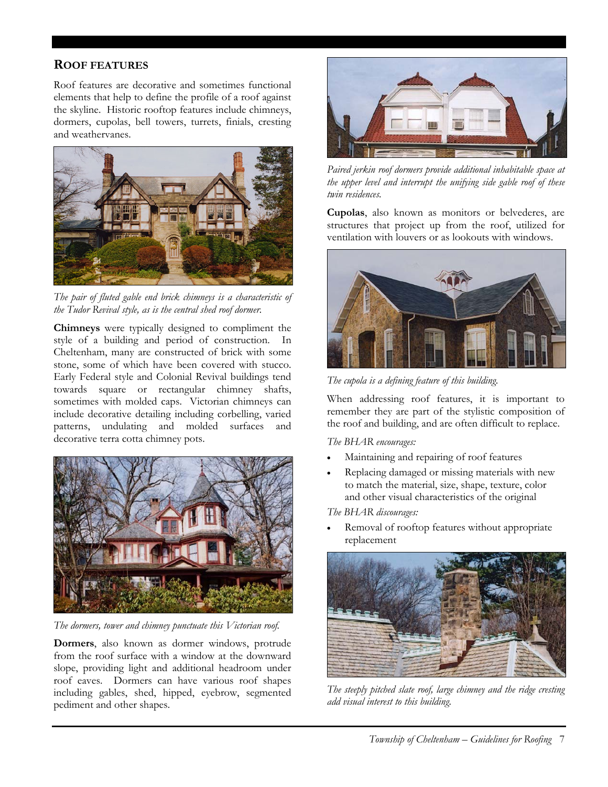### **ROOF FEATURES**

dormers, cupolas, bell towers, turrets, finials, cresting Roof features are decorative and sometimes functional elements that help to define the profile of a roof against the skyline. Historic rooftop features include chimneys, and weathervanes.



*The pair of fluted gable end brick chimneys is a characteristic of the Tudor Revival style, as is the central shed roof dormer.* 

**Chimneys** were typically designed to compliment the style of a building and period of construction. In Cheltenham, many are constructed of brick with some stone, some of which have been covered with stucco. Early Federal style and Colonial Revival buildings tend towards square or rectangular chimney shafts, sometimes with molded caps. Victorian chimneys can include decorative detailing including corbelling, varied patterns, undulating and molded surfaces and decorative terra cotta chimney pots.



*The dormers, tower and chimney punctuate this Victorian roof.* 

**Dormers**, also known as dormer windows, protrude from the roof surface with a window at the downward slope, providing light and additional headroom under roof eaves. Dormers can have various roof shapes including gables, shed, hipped, eyebrow, segmented pediment and other shapes.



*Paired jerkin roof dormers provide a dditional inhabitable space at the upper level and interrupt the unifying s ide gable roof of these twin residences.* 

**Cupolas**, also known as moni tors or belvederes, are structures that project up from the roof, utilized for ventilation with louvers or as lookouts with windows.



The cupola is a defining feature of this building.

When addressing roof features, it is important to remember they are part of the stylistic composition of the roof and building, and are often difficult to replace.

*The BHAR encourages:* 

- Maintaining and repairing of roof features
- Replacing damaged or missing materials with new to match the material, size, shape, texture, color and other visual characteristics of the original

*The BHAR discourages:* 

Removal of rooftop features without appropriate replacement



*The steeply pitched slate roof, large chimney and the ridge cresting add visual interest to this building.*